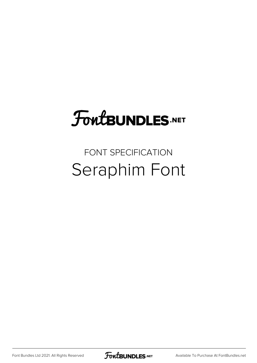## **FoutBUNDLES.NET**

## FONT SPECIFICATION Seraphim Font

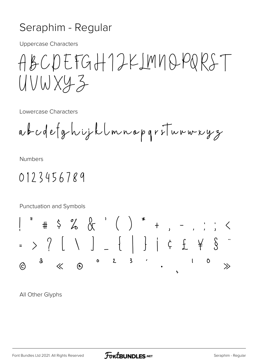## Seraphim - Regular

**Uppercase Characters** 

ABCDEFGH12KIMNQPQRST UVWXY3

Lowercase Characters

abcdefghijklmnopgriturweyz

**Numbers** 

0123456789

Punctuation and Symbols  $\# \begin{array}{cc} \begin{array}{cc} \circ & \circ \\ \circ & \circ \end{array} & \begin{array}{cc} \circ & \circ \\ \circ & \circ \end{array} & \begin{array}{cc} \circ & \circ & \circ \\ \circ & \circ & \end{array} & \begin{array}{cc} \circ & \circ & \circ \\ \circ & \circ & \end{array} & \begin{array}{cc} \circ & \circ & \circ \\ \circ & \circ & \end{array} & \begin{array}{cc} \circ & \circ & \circ \\ \circ & \circ & \end{array} & \begin{array}{cc} \circ & \circ & \circ \\ \circ & \circ & \end{array} & \begin{array}{cc} \circ & \circ & \circ \\ \circ & \circ & \$ > ? [ \ ] \_ { | } | ¢ £ \ \$  $\circ$  2  $\overline{\mathbf{3}}$  $\mathbf{I}$  $\mathsf{\bullet}$  $\partial$  $\widehat{D}$  $\ll$  $\widehat{c}$  $\gg$ 

All Other Glyphs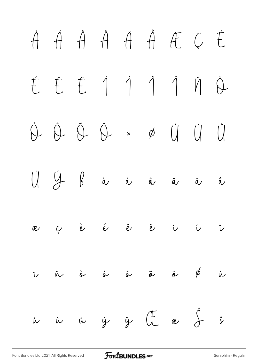## À Á Â Ã Ä Å Æ Ç È É Ê Ë Ì Í Î Ï Ñ Ò Ó Ô Õ Ö × Ø Ù Ú Û  $\bigcup$   $\bigcup$   $\bigcup$   $\bigcup$   $\bigcap$   $\bigcap$  à á à  $\bigtriangleup$  à æ ç è é ê ë ì í î  $\ddot{\nu}$  ñ è é ô õ ë  $\phi$  ù ú û ü ý ÿ Œ œ Š š